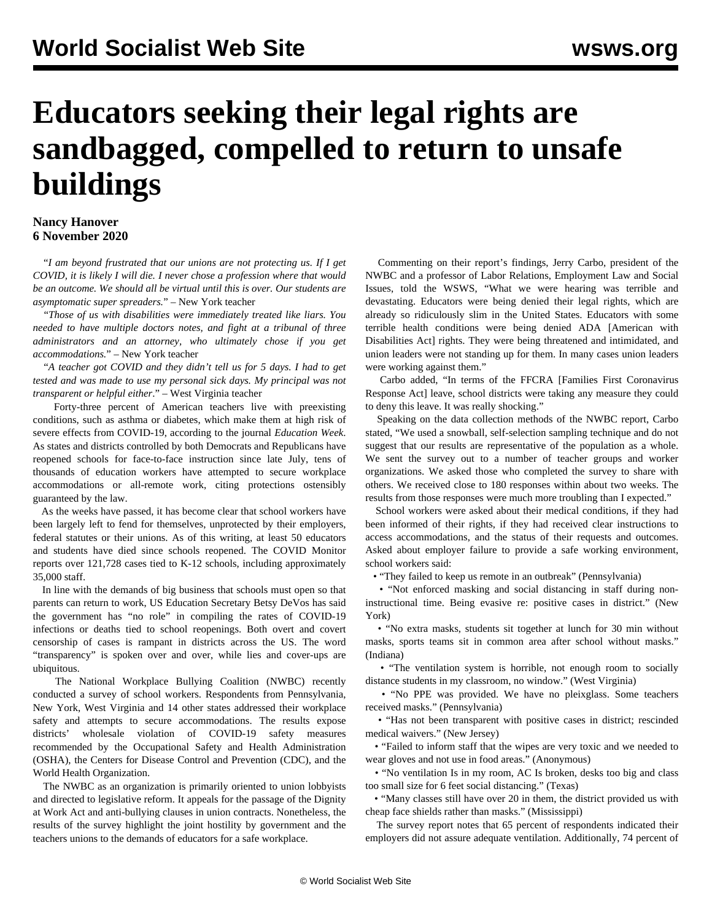## **Educators seeking their legal rights are sandbagged, compelled to return to unsafe buildings**

## **Nancy Hanover 6 November 2020**

 "*I am beyond frustrated that our unions are not protecting us. If I get COVID, it is likely I will die. I never chose a profession where that would be an outcome. We should all be virtual until this is over. Our students are asymptomatic super spreaders.*" – New York teacher

 "*Those of us with disabilities were immediately treated like liars. You needed to have multiple doctors notes, and fight at a tribunal of three administrators and an attorney, who ultimately chose if you get accommodations.*" – New York teacher

 "*A teacher got COVID and they didn't tell us for 5 days. I had to get tested and was made to use my personal sick days. My principal was not transparent or helpful either*." *–* West Virginia teacher

 Forty-three percent of American teachers live with preexisting conditions, such as asthma or diabetes, which make them at high risk of severe effects from COVID-19, according to the journal *Education Week*. As states and districts controlled by both Democrats and Republicans have reopened schools for face-to-face instruction since late July, tens of thousands of education workers have attempted to secure workplace accommodations or all-remote work, citing protections ostensibly guaranteed by the law.

 As the weeks have passed, it has become clear that school workers have been largely left to fend for themselves, unprotected by their employers, federal statutes or their unions. As of this writing, at least 50 educators and students have died since schools reopened. The COVID Monitor reports over 121,728 cases tied to K-12 schools, including approximately 35,000 staff.

 In line with the demands of big business that schools must open so that parents can return to work, US Education Secretary Betsy DeVos has said the government has "no role" in compiling the rates of COVID-19 infections or deaths tied to school reopenings. Both overt and covert censorship of cases is rampant in districts across the US. The word "transparency" is spoken over and over, while lies and cover-ups are ubiquitous.

 The National Workplace Bullying Coalition (NWBC) recently conducted a survey of school workers. Respondents from Pennsylvania, New York, West Virginia and 14 other states addressed their workplace safety and attempts to secure accommodations. The results expose districts' wholesale violation of COVID-19 safety measures recommended by the Occupational Safety and Health Administration (OSHA), the Centers for Disease Control and Prevention (CDC), and the World Health Organization.

 The NWBC as an organization is primarily oriented to union lobbyists and directed to legislative reform. It appeals for the passage of the Dignity at Work Act and anti-bullying clauses in union contracts. Nonetheless, the results of the survey highlight the joint hostility by government and the teachers unions to the demands of educators for a safe workplace.

 Commenting on their report's findings, Jerry Carbo, president of the NWBC and a professor of Labor Relations, Employment Law and Social Issues, told the WSWS, "What we were hearing was terrible and devastating. Educators were being denied their legal rights, which are already so ridiculously slim in the United States. Educators with some terrible health conditions were being denied ADA [American with Disabilities Act] rights. They were being threatened and intimidated, and union leaders were not standing up for them. In many cases union leaders were working against them."

 Carbo added, "In terms of the FFCRA [Families First Coronavirus Response Act] leave, school districts were taking any measure they could to deny this leave. It was really shocking."

 Speaking on the data collection methods of the NWBC report, Carbo stated, "We used a snowball, self-selection sampling technique and do not suggest that our results are representative of the population as a whole. We sent the survey out to a number of teacher groups and worker organizations. We asked those who completed the survey to share with others. We received close to 180 responses within about two weeks. The results from those responses were much more troubling than I expected."

 School workers were asked about their medical conditions, if they had been informed of their rights, if they had received clear instructions to access accommodations, and the status of their requests and outcomes. Asked about employer failure to provide a safe working environment, school workers said:

• "They failed to keep us remote in an outbreak" (Pennsylvania)

 • "Not enforced masking and social distancing in staff during noninstructional time. Being evasive re: positive cases in district." (New York)

 • "No extra masks, students sit together at lunch for 30 min without masks, sports teams sit in common area after school without masks." (Indiana)

• "The ventilation system is horrible, not enough room to socially distance students in my classroom, no window." (West Virginia)

 • "No PPE was provided. We have no pleixglass. Some teachers received masks." (Pennsylvania)

 • "Has not been transparent with positive cases in district; rescinded medical waivers." (New Jersey)

 • "Failed to inform staff that the wipes are very toxic and we needed to wear gloves and not use in food areas." (Anonymous)

 • "No ventilation Is in my room, AC Is broken, desks too big and class too small size for 6 feet social distancing." (Texas)

 • "Many classes still have over 20 in them, the district provided us with cheap face shields rather than masks." (Mississippi)

 The survey report notes that 65 percent of respondents indicated their employers did not assure adequate ventilation. Additionally, 74 percent of